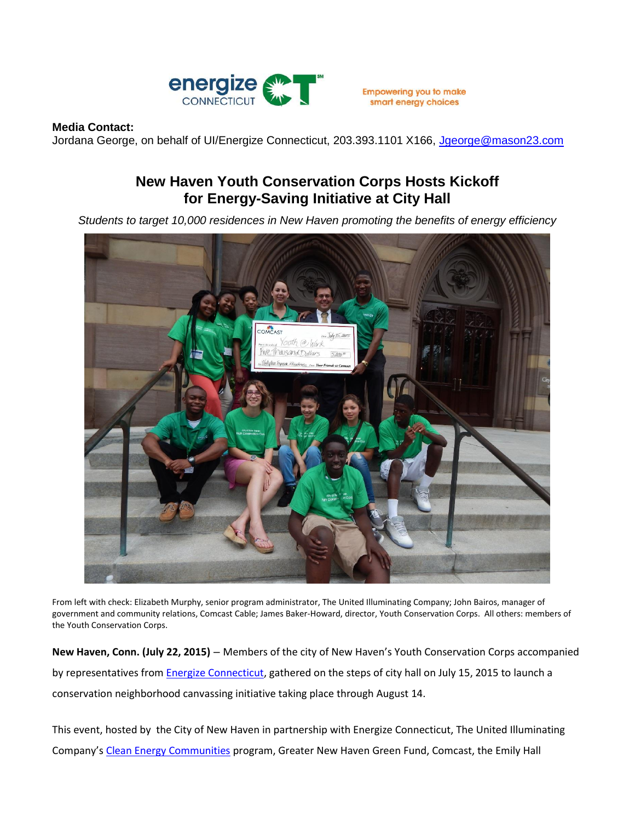

smart energy choices

## **Media Contact:**

Jordana George, on behalf of UI/Energize Connecticut, 203.393.1101 X166, Jaeorge@mason23.com

## **New Haven Youth Conservation Corps Hosts Kickoff for Energy-Saving Initiative at City Hall**

*Students to target 10,000 residences in New Haven promoting the benefits of energy efficiency*



From left with check: Elizabeth Murphy, senior program administrator, The United Illuminating Company; John Bairos, manager of government and community relations, Comcast Cable; James Baker-Howard, director, Youth Conservation Corps. All others: members of the Youth Conservation Corps.

**New Haven, Conn. (July 22, 2015)** – Members of the city of New Haven's Youth Conservation Corps accompanied by representatives from [Energize Connecticut,](http://www.energizect.com/) gathered on the steps of city hall on July 15, 2015 to launch a conservation neighborhood canvassing initiative taking place through August 14.

This event, hosted by the City of New Haven in partnership with Energize Connecticut, The United Illuminating Company's [Clean Energy Communities](http://www.energizect.com/communities/) program, Greater New Haven Green Fund, Comcast, the Emily Hall